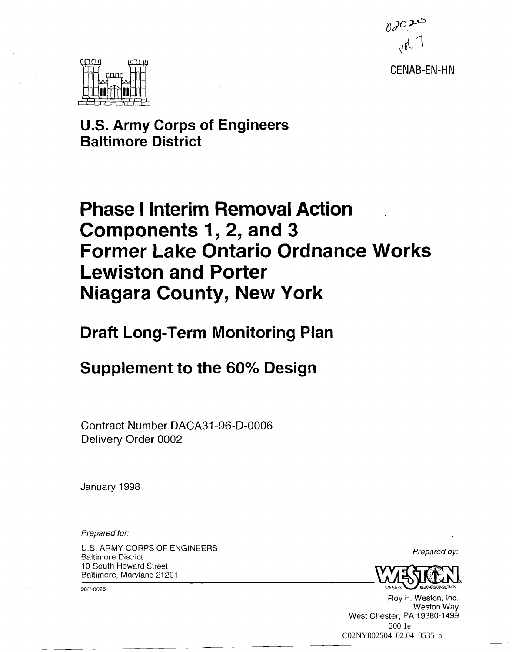

CENAB-EN-HN



**u.s. Army Corps of Engineers Baltimore District** 

# **Phase** I Interim **Removal Action Components 1, 2, and 3 Former lake Ontario Ordnance Works Lewiston and Porter Niagara County, New York**

**Draft Long-Term Monitoring Plan** 

# **Supplement to the 60% Design**

Contract Number DACA31-96-D-0006 Delivery Order 0002

January 1998

Prepared for:

U.S. ARMY CORPS OF ENGINEERS Baltimore District 10 South Howard Street Baltimore, Maryland 21201

98P-0025

Prepared by:



Roy F. Weston, Inc. 1 Weston Way West Chester, PA 19380-1499 200.1e C02NY002504\_02.04\_0535\_a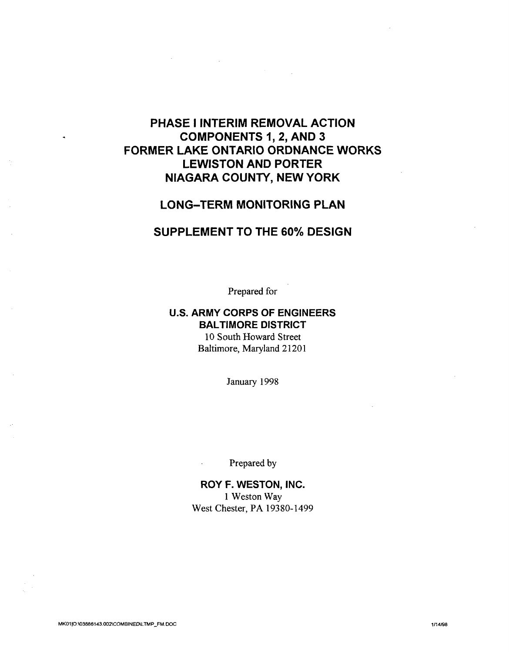# **PHASE I INTERIM REMOVAL ACTION COMPONENTS 1, 2, AND 3 FORMER LAKE ONTARIO ORDNANCE WORKS LEWISTON AND PORTER NIAGARA COUNTY, NEW YORK**

# **LONG-TERM MONITORING PLAN**

# **SUPPLEMENT TO THE 60% DESIGN**

Prepared for

## **u.s. ARMY CORPS OF ENGINEERS SAL TIMORE DISTRICT**  10 South Howard Street Baltimore, Maryland 21201

January 1998

Prepared by

**ROY F. WESTON, INC.**  1 Weston Way West Chester, PA 19380-1499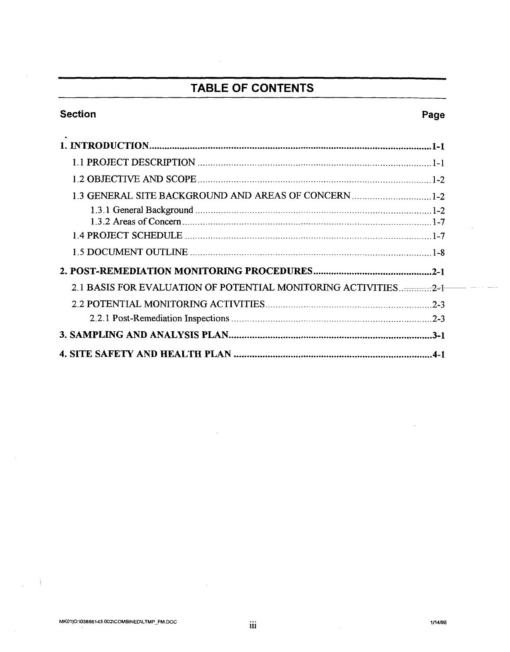# **TABLE OF CONTENTS**

 $\bar{a}$ 

# **Section**

# Page

 $\pi\varphi$  .  $\frac{1}{2}$ 

| 2.1 BASIS FOR EVALUATION OF POTENTIAL MONITORING ACTIVITIES2-1 |
|----------------------------------------------------------------|
|                                                                |
|                                                                |
|                                                                |
|                                                                |

 $\sim$ 

 $\sim$ 

 $\chi=1$ 

iii

 $\ddot{\phantom{a}}$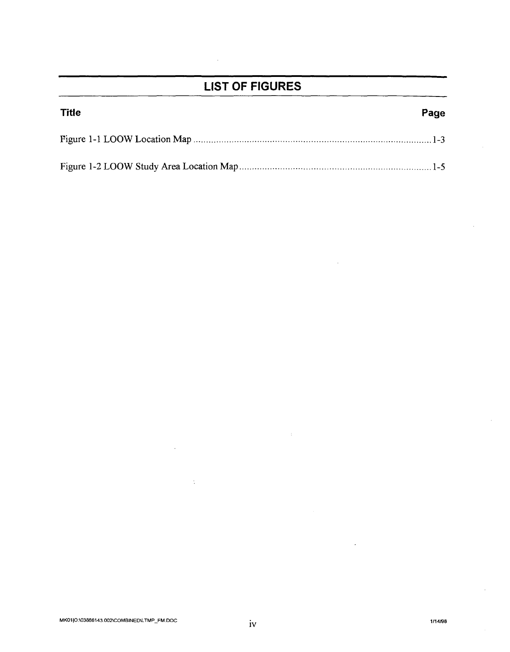# **LIST OF FIGURES**

| <b>Title</b> | Page |
|--------------|------|
|              |      |
|              |      |

 $\frac{1}{4}$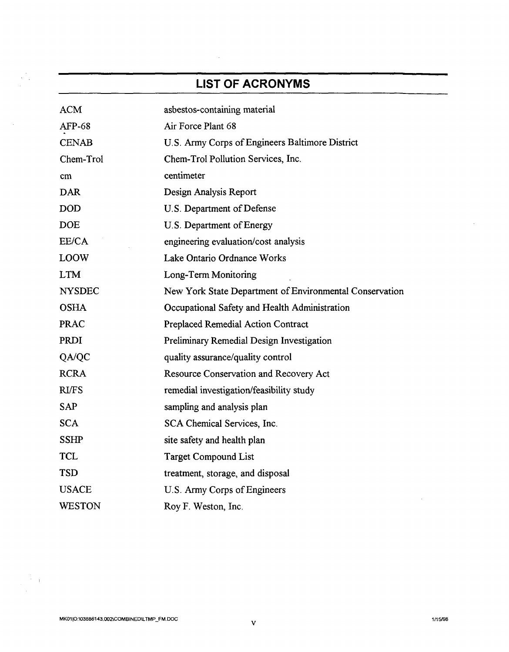# **LIST OF ACRONYMS**

 $\sim$ 

 $\gamma_{\rm{max}}$ 

 $\Delta \phi$ 

| <b>ACM</b>    | asbestos-containing material                            |
|---------------|---------------------------------------------------------|
| AFP-68        | Air Force Plant 68                                      |
| <b>CENAB</b>  | U.S. Army Corps of Engineers Baltimore District         |
| Chem-Trol     | Chem-Trol Pollution Services, Inc.                      |
| cm            | centimeter                                              |
| <b>DAR</b>    | Design Analysis Report                                  |
| <b>DOD</b>    | U.S. Department of Defense                              |
| <b>DOE</b>    | U.S. Department of Energy                               |
| EE/CA         | engineering evaluation/cost analysis                    |
| <b>LOOW</b>   | Lake Ontario Ordnance Works                             |
| <b>LTM</b>    | Long-Term Monitoring                                    |
| <b>NYSDEC</b> | New York State Department of Environmental Conservation |
| <b>OSHA</b>   | Occupational Safety and Health Administration           |
| <b>PRAC</b>   | <b>Preplaced Remedial Action Contract</b>               |
| <b>PRDI</b>   | Preliminary Remedial Design Investigation               |
| QA/QC         | quality assurance/quality control                       |
| <b>RCRA</b>   | Resource Conservation and Recovery Act                  |
| <b>RI/FS</b>  | remedial investigation/feasibility study                |
| <b>SAP</b>    | sampling and analysis plan                              |
| <b>SCA</b>    | SCA Chemical Services, Inc.                             |
| <b>SSHP</b>   | site safety and health plan                             |
| <b>TCL</b>    | <b>Target Compound List</b>                             |
| <b>TSD</b>    | treatment, storage, and disposal                        |
| <b>USACE</b>  | U.S. Army Corps of Engineers                            |
| <b>WESTON</b> | Roy F. Weston, Inc.                                     |

 $\sim 10$ 

 $\mathcal{L}$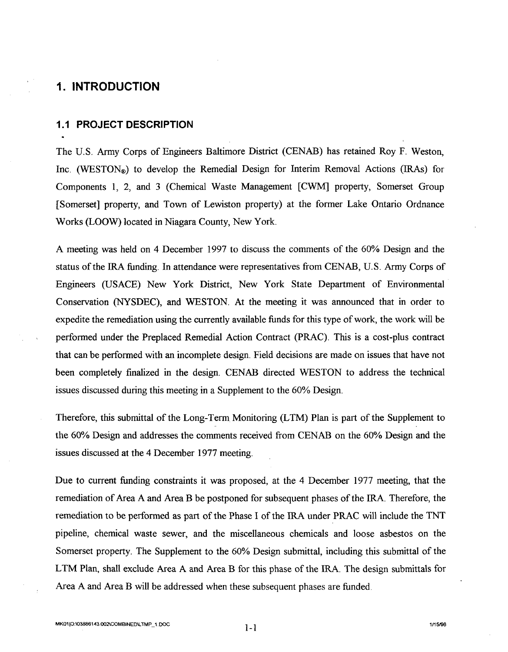## **1. INTRODUCTION**

#### **1.1 PROJECT DESCRIPTION**

The U.S. Army Corps of Engineers Baltimore District (CENAB) has retained Roy F. Weston, Inc. (WESTON<sub>®</sub>) to develop the Remedial Design for Interim Removal Actions (IRAs) for Components 1, 2, and 3 (Chemical Waste Management [CWM] property, Somerset Group [Somerset] property, and Town of Lewiston property) at the former Lake Ontario Ordnance Works (LOOW) located in Niagara County, New York.

A meeting was held on 4 December 1997 to discuss the comments of the 60% Design and the status of the IRA funding. In attendance were representatives from CENAB, U.S. Army Corps of Engineers (USACE) New York District, New York State Department of Environmental Conservation (NYSDEC), and WESTON. At the meeting it was announced that in order to expedite the remediation using the currently available funds for this type of work, the work will be performed under the Preplaced Remedial Action Contract (PRAC). This is a cost-plus contract that can be performed with an incomplete design. Field decisions are made on issues that have not been completely finalized in the design. CENAB directed WESTON to address the technical issues discussed during this meeting in a Supplement to the 60% Design.

Therefore, this submittal of the Long-Term Monitoring (LTM) Plan is part of the Supplement to the 60% Design and addresses the comments received from CENAB on the 60% Design and the issues discussed at the 4 December 1977 meeting.

Due to current funding constraints it was proposed, at the 4 December 1977 meeting, that the remediation of Area A and Area B be postponed for subsequent phases of the IRA. Therefore, the remediation to be performed as part of the Phase I of the IRA under PRAC will include the TNT pipeline, chemical waste sewer, and the miscellaneous chemicals and loose asbestos on the Somerset property. The Supplement to the 60% Design submittal, including this submittal of the LTM Plan, shall exclude Area A and Area B for this phase of the IRA. The design submittals for Area A and Area B will be addressed when these subsequent phases are funded.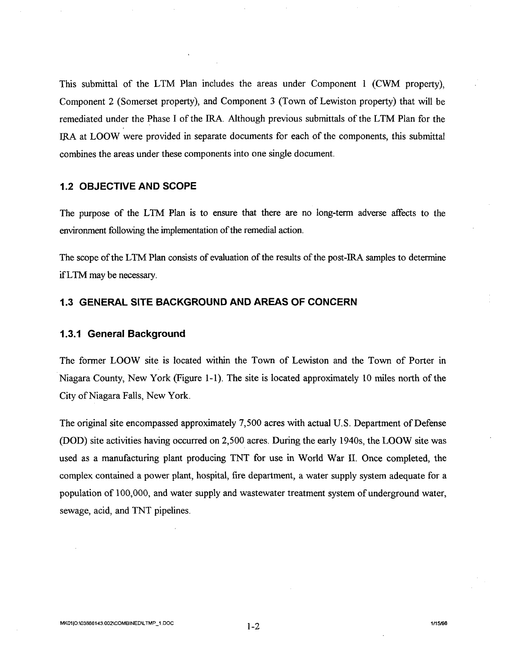This submittal of the LTM Plan includes the areas under Component 1 (CWM property), Component 2 (Somerset property), and Component 3 (Town of Lewiston property) that will be remediated under the Phase I of the IRA. Although previous submittals of the LTM Plan for the IRA at LOOW were provided in separate documents for each of the components, this submittal combines the areas under these components into one single document.

#### **1.2 OBJECTIVE AND SCOPE**

The purpose of the LTM Plan is to ensure that there are no long-term adverse affects to the environment following the implementation of the remedial action.

The scope of the LTM Plan consists of evaluation of the results of the post-IRA samples to determine if LTM may be necessary.

#### **1.3 GENERAL SITE BACKGROUND AND AREAS OF CONCERN**

#### **1.3.1 General Background**

The former LOOW site is located within the Town of Lewiston and the Town of Porter in Niagara County, New York (Figure 1-1). The site is located approximately 10 miles north of the City of Niagara Falls, New York.

The original site encompassed approximately 7,500 acres with actual U.S. Department of Defense (DOD) site activities having occurred on 2,500 acres. During the early 1940s, the LOOW site was used as a manufacturing plant producing TNT for use in World War II. Once completed, the complex contained a power plant, hospital, fire department, a water supply system adequate for a population of 100,000, and water supply and wastewater treatment system of underground water, sewage, acid, and TNT pipelines.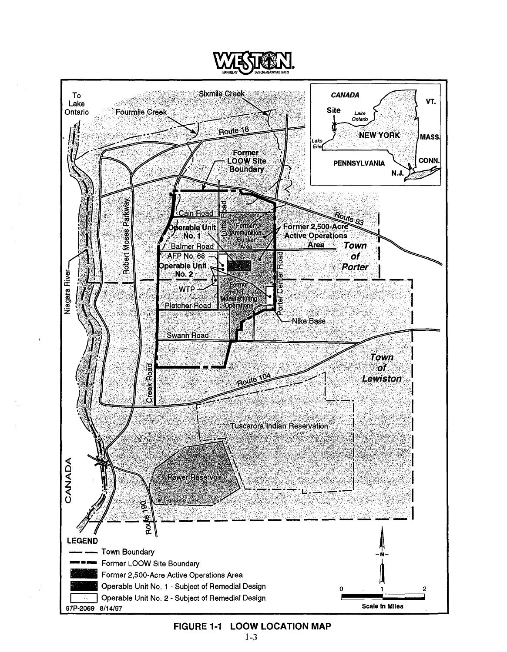

**FIGURE 1-1 LOOW LOCATION MAP**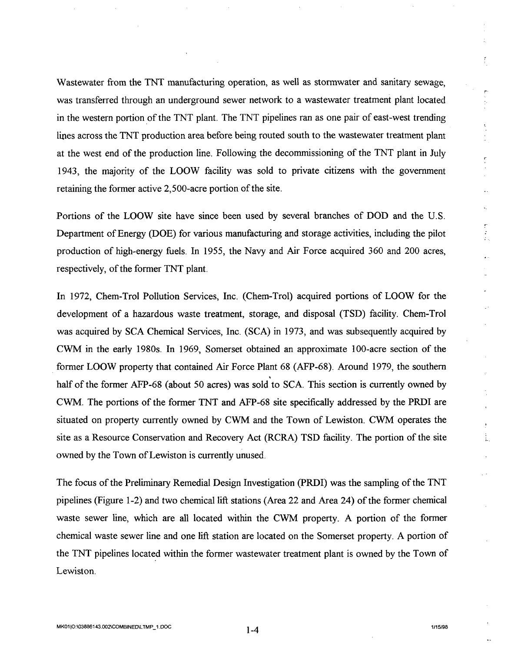Wastewater from the TNT manufacturing operation, as well as stormwater and sanitary sewage, was transferred through an underground sewer network to a wastewater treatment plant located in the western portion of the TNT plant. The TNT pipelines ran as one pair of east-west trending lines across the TNT production area before being routed south to the wastewater treatment plant at the west end of the production line. Following the decommissioning of the TNT plant in July 1943, the majority of the LOOW facility was sold to private citizens with the government retaining the former active 2,500-acre portion of the site.

Portions of the LOOW site have since been used by several branches of DOD and the U.S. Department of Energy (DOE) for various manufacturing and storage activities, including the pilot production of high-energy fuels. In 1955, the Navy and Air Force acquired 360 and 200 acres, respectively, of the former TNT plant.

In 1972, Chem-Trol Pollution Services, Inc. (Chem-Trol) acquired portions of LOOW for the development of a hazardous waste treatment, storage, and disposal (TSD) facility. Chem-Trol was acquired by SCA Chemical Services, Inc. (SCA) in 1973, and was subsequently acquired by CWM in the early 1980s. In 1969, Somerset obtained an approximate 100-acre section of the former LOOW property that contained Air Force Plant 68 (AFP-68). Around 1979, the southern half of the former AFP-68 (about 50 acres) was sold to SCA. This section is currently owned by CWM. The portions of the former TNT and AFP-68 site specifically addressed by the PRDI are situated on property currently owned by CWM and the Town of Lewiston. CWM operates the site as a Resource Conservation and Recovery Act (RCRA) TSD facility. The portion of the site owned by the Town of Lewiston is currently unused.

The focus of the Preliminary Remedial Design Investigation (PRDI) was the sampling of the TNT pipelines (Figure 1-2) and two chemical lift stations (Area 22 and Area 24) of the former chemical waste sewer line, which are all located within the CWM property. A portion of the former chemical waste sewer line and one lift station are located on the Somerset property. A portion of the TNT pipelines located within the former wastewater treatment plant is owned by the Town of Lewiston.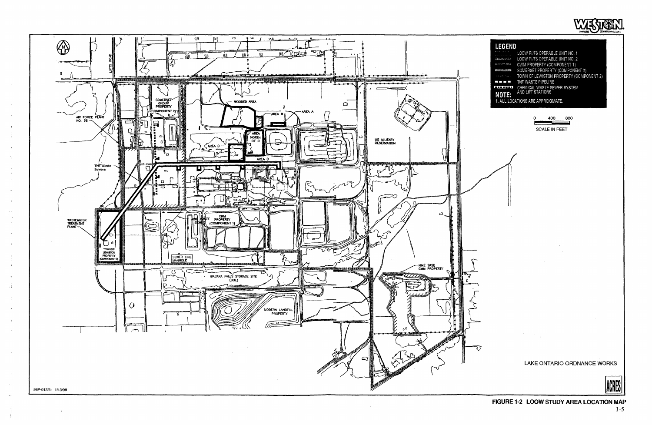

÷



| <b>LEGEND</b>     |                                         |
|-------------------|-----------------------------------------|
|                   | LOOW RI/FS OPERABLE UNIT NO. 1          |
| 140100000         | LOOW RI/FS OPERABLE UNIT NO. 2          |
| <b>SECOLES</b>    | CWM PROPERTY (COMPONENT 1)              |
|                   | SOMERSET PROPERTY (COMPONENT 2)         |
| <b>STATISTICS</b> | TOWN OF LEWISTON PROPERTY (COMPONENT 3) |
| 9 T T 9           | TNT WASTE PIPELINE                      |
| <b>SESSMAI</b>    | CHEMICAL WASTE SEWER SYSTEM             |
| NOTE:             | AND LIFT STATIONS                       |
|                   | 1. ALL LOCATIONS ARE APPROXIMATE.       |

| 400 | റെറ |
|-----|-----|
|     |     |

SCALE IN FEET

LAKE ONTARIO ORDNANCE WORKS

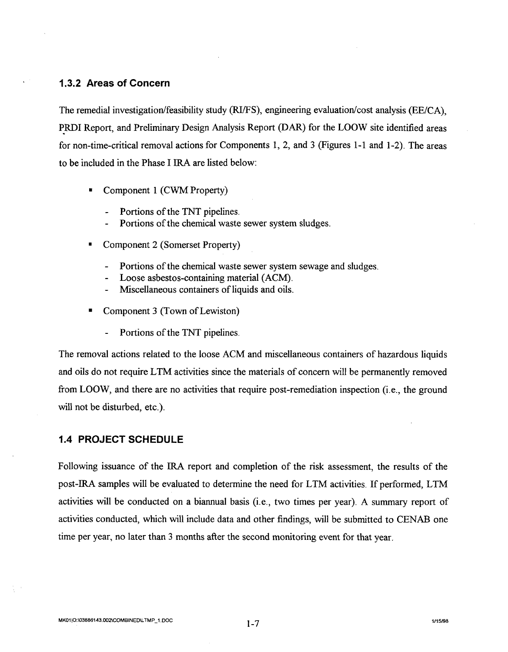#### **1.3.2 Areas of Concern**

The remedial investigation/feasibility study (RI/FS), engineering evaluation/cost analysis (EE/CA), ~RDI Report, and Preliminary Design Analysis Report (DAR) for the LOOW site identified areas for non-time-critical removal actions for Components 1, 2, and 3 (Figures 1-1 and 1-2). The areas to be included in the Phase I IRA are listed below:

- Component 1 (CWM Property)
	- Portions of the TNT pipelines.
	- Portions of the chemical waste sewer system sludges.
- Component 2 (Somerset Property)
	- Portions of the chemical waste sewer system sewage and sludges.  $\overline{\phantom{0}}$
	- Loose asbestos-containing material (ACM).
	- Miscellaneous containers of liquids and oils.
- Component 3 (Town of Lewiston)
	- Portions of the TNT pipelines.  $\overline{a}$

The removal actions related to the loose ACM and miscellaneous containers of hazardous liquids and oils do not require LTM activities since the materials of concern will be permanently removed from LOOW, and there are no activities that require post-remediation inspection (i.e., the ground will not be disturbed, etc.).

#### **1.4 PROJECT SCHEDULE**

Following issuance of the IRA report and completion of the risk assessment, the results of the post-IRA samples will be evaluated to determine the need for LTM activities. If performed, LTM activities will be conducted on a biannual basis (i.e., two times per year). A summary report of activities conducted, which will include data and other findings, will be submitted to CENAB one time per year, no later than 3 months after the second monitoring event for that year.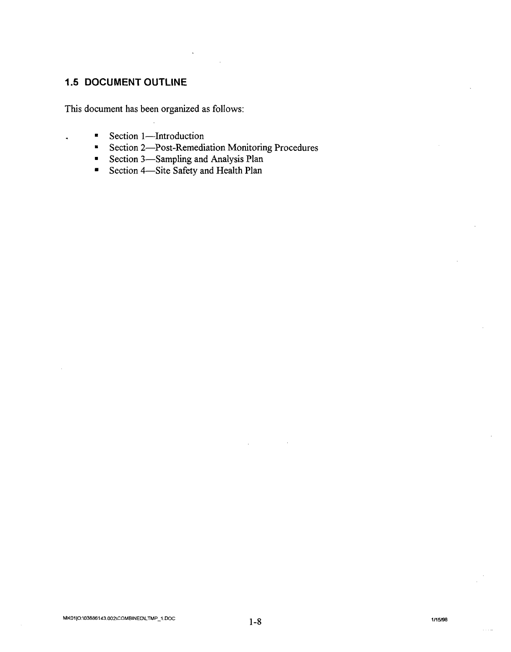## **1.5 DOCUMENT OUTLINE**

This document has been organized as follows:

- Section 1—Introduction<br>• Section 2—Post-Remedi
- Section 2-Post-Remediation Monitoring Procedures
- Section 3—Sampling and Analysis Plan<br>• Section 4—Site Safety and Health Plan
- Section 4-Site Safety and Health Plan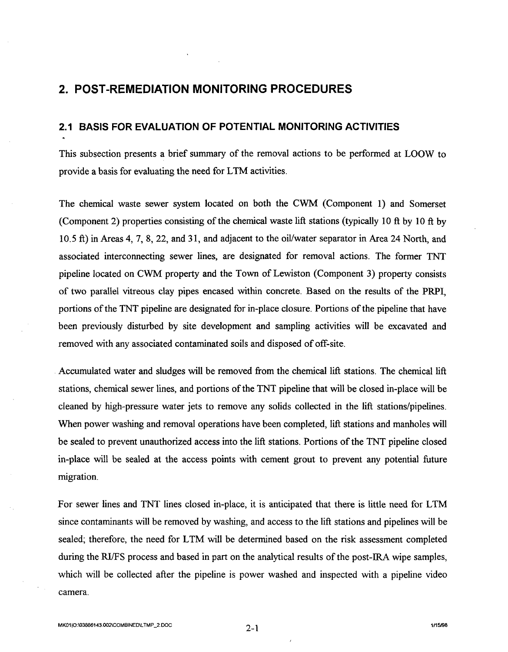# **2. POST-REMEDIATION MONITORING PROCEDURES**

#### **2.1 BASIS FOR EVALUATION OF POTENTIAL MONITORING ACTIVITIES**

This subsection presents a brief summary of the removal actions to be performed at LOOW to provide a basis for evaluating the need for LTM activities.

The chemical waste sewer system located on both the CWM (Component 1) and Somerset (Component 2) properties consisting of the chemical waste lift stations (typically 10 ft by 10 ft by 10.5 ft) in Areas 4, 7, 8, 22, and 31, and adjacent to the oil/water separator in Area 24 North, and associated interconnecting sewer lines, are designated for removal actions. The former TNT pipeline located on CWM property and the Town of Lewiston (Component 3) property consists of two parallel vitreous clay pipes encased within concrete. Based on the results of the PRPI, portions of the TNT pipeline are designated for in-place closure. Portions of the pipeline that have been previously disturbed by site development and sampling activities will be excavated and removed with any associated contaminated soils and disposed of off-site .

. Accumulated water and sludges will be removed from the chemical lift stations. The chemical lift stations, chemical sewer lines, and portions of the TNT pipeline that will be closed in-place will be cleaned by high-pressure water jets to remove any solids collected in the lift stations/pipelines. When power washing and removal operations have been completed, lift stations and manholes will be sealed to prevent unauthorized access into the lift stations. Portions of the TNT pipeline closed in-place will be sealed at the access points with cement grout to prevent any potential future migration.

For sewer lines and TNT lines closed in-place, it is anticipated that there is little need for LTM since contaminants will be removed by washing, and access to the lift stations and pipelines will be sealed; therefore, the need for L TM will be determined based on the risk assessment completed during the RI/FS process and based in part on the analytical results of the post-IRA wipe samples, which will be collected after the pipeline is power washed and inspected with a pipeline video camera.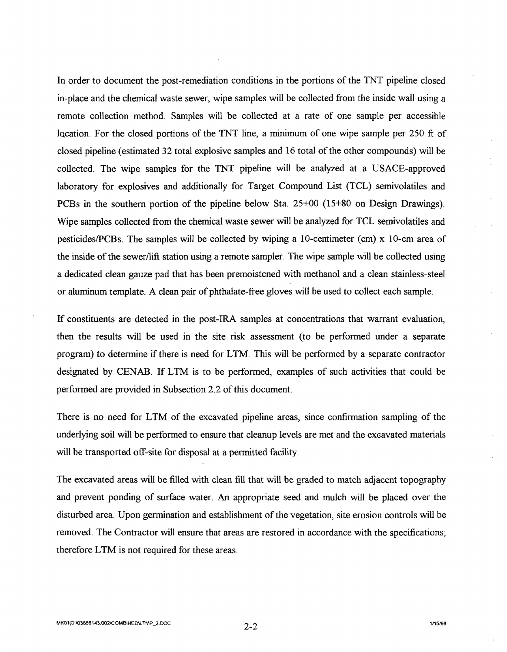In order to document the post-remediation conditions in the portions of the TNT pipeline closed in-place and the chemical waste sewer, wipe samples will be collected from the inside wall using a remote collection method. Samples will be collected at a rate of one sample per accessible IQcation. For the closed portions of the TNT line, a minimum of one wipe sample per 250 ft of closed pipeline (estimated 32 total explosive samples and 16 total of the other compounds) will be collected. The wipe samples for the TNT pipeline will be analyzed at a USACE-approved laboratory for explosives and additionally for Target Compound List (TCL) semivolatiles and PCBs in the southern portion of the pipeline below Sta. 25+00 (15+80 on Design Drawings). Wipe samples collected from the chemical waste sewer will be analyzed for TCL semivolatiles and pesticides/PCBs. The samples will be collected by wiping a 10-centimeter (cm)  $x$  10-cm area of the inside of the sewer/lift station using a remote sampler. The wipe sample will be collected using a dedicated clean gauze pad that has been premoistened with methanol and a clean stainless-steel or aluminum template. A clean pair of phthalate-free gloves will be used to collect each sample.

If constituents are detected in the post-IRA samples at concentrations that warrant evaluation, then the results will be used in the site risk assessment (to be performed under a separate program) to determine if there is need for LTM. This will be performed by a separate contractor designated by CENAB. If LTM is to be performed, examples of such activities that could be performed are provided in Subsection 2.2 of this document.

There is no need for LTM of the excavated pipeline areas, since confirmation sampling of the underlying soil will be performed to ensure that cleanup levels are met and the excavated materials will be transported off-site for disposal at a permitted facility.

The excavated areas will be filled with clean fill that will be graded to match adjacent topography and prevent ponding of surface water. An appropriate seed and mulch will be placed over the disturbed area. Upon germination and establishment of the vegetation, site erosion controls will be removed. The Contractor will ensure that areas are restored in accordance with the specifications; therefore LTM is not required for these areas.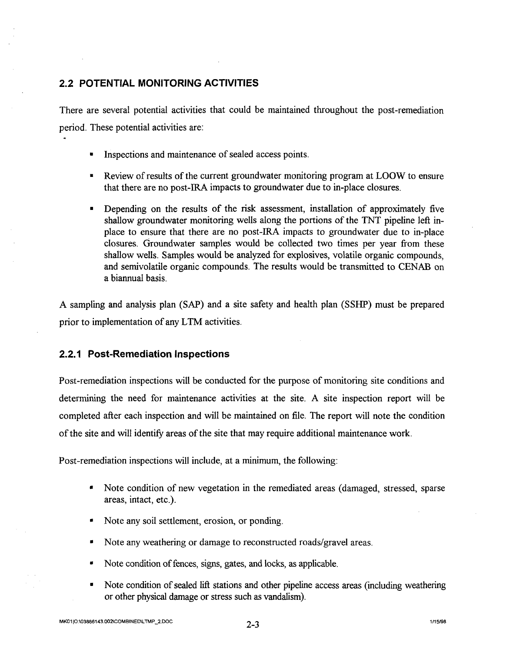### **2.2 POTENTIAL MONITORING ACTIVITIES**

There are several potential activities that could be maintained throughout the post-remediation period. These potential activities are:

- Inspections and maintenance of sealed access points.
- Review of results of the current groundwater monitoring program at LOOW to ensure that there are no post-IRA impacts to groundwater due to in-place closures.
- Depending on the results of the risk assessment, installation of approximately five shallow groundwater monitoring wells along the portions of the TNT pipeline left inplace to ensure that there are no post-IRA impacts to groundwater due to in-place closures. Groundwater samples would be collected two times per year from these shallow wells. Samples would be analyzed for explosives, volatile organic compounds, and semivolatile organic compounds. The results would be transmitted to CENAB on a biannual basis.

A sampling and analysis plan (SAP) and a site safety and health plan (SSHP) must be prepared prior to implementation of any LTM activities.

#### **2.2.1 Post-Remediation Inspections**

Post-remediation inspections will be conducted for the purpose of monitoring site conditions and determining the need for maintenance activities at the site. A site inspection report will be completed after each inspection and will be maintained on file. The report will note the condition of the site and will identify areas of the site that may require additional maintenance work.

Post-remediation inspections will include, at a minimum, the following:

- Note condition of new vegetation in the remediated areas (damaged, stressed, sparse areas, intact, etc.).
- Note any soil settlement, erosion, or ponding.
- Note any weathering or damage to reconstructed roads/gravel areas.
- Note condition of fences, signs, gates, and locks, as applicable.
- Note condition of sealed lift stations and other pipeline access areas (including weathering or other physical damage or stress such as vandalism).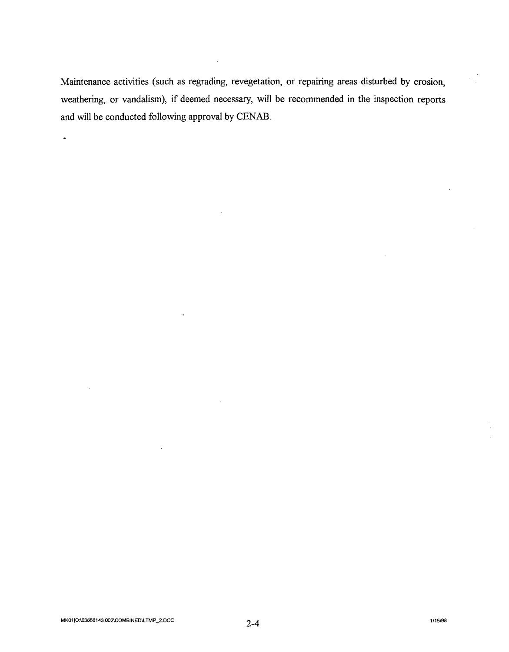Maintenance activities (such as regrading, revegetation, or repairing areas disturbed by erosion, weathering, or vandalism), if deemed necessary, will be recommended in the inspection reports and will be conducted following approval by CENAB.

 $\ddot{\phantom{a}}$ 

 $\ddot{\phantom{1}}$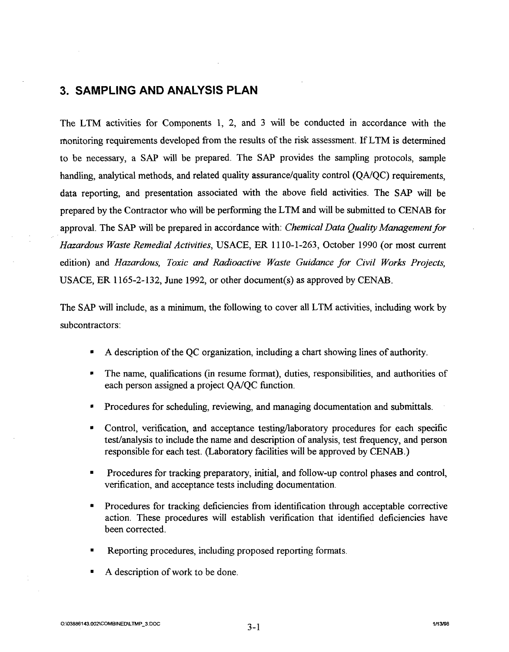## **3. SAMPLING AND ANALYSIS PLAN**

The LTM activities for Components 1, 2, and 3 will be conducted in accordance with the monitoring requirements developed from the results of the risk assessment. If LTM is determined to be necessary, a SAP will be prepared. The SAP provides the sampling protocols, sample handling, analytical methods, and related quality assurance/quality control *(QNQC)* requirements, data reporting, and presentation associated with the above field activities. The SAP will be prepared by the Contractor who will be performing the LTM and will be submitted to CENAB for approval. The SAP will be prepared in accordance with: *Chemical Data Quality Management for Hazardous Waste Remedial Activities,* USACE, ER 1110-1-263, October 1990 (or most current edition) and *Hazardous, Toxic and Radioactive Waste Guidance for Civil Works Projects,*  USACE, ER 1165-2-132, June 1992, or other document(s) as approved by CENAB.

The SAP will include, as a minimum, the following to cover all LTM activities, including work by subcontractors:

- A description of the QC organization, including a chart showing lines of authority.
- The name, qualifications (in resume format), duties, responsibilities, and authorities of each person assigned a project *QNQC* function.
- Procedures for scheduling, reviewing, and managing documentation and submittals.
- Control, verification, and acceptance testing/laboratory procedures for each specific test/analysis to include the name and description of analysis, test frequency, and person responsible for each test. (Laboratory facilities will be approved by CENAB.)
- Procedures for tracking preparatory, initial, and follow-up control phases and control, verification, and acceptance tests including documentation.
- Procedures for tracking deficiencies from identification through acceptable corrective action. These procedures will establish verification that identified deficiencies have been corrected.
- Reporting procedures, including proposed reporting formats.
- A description of work to be done.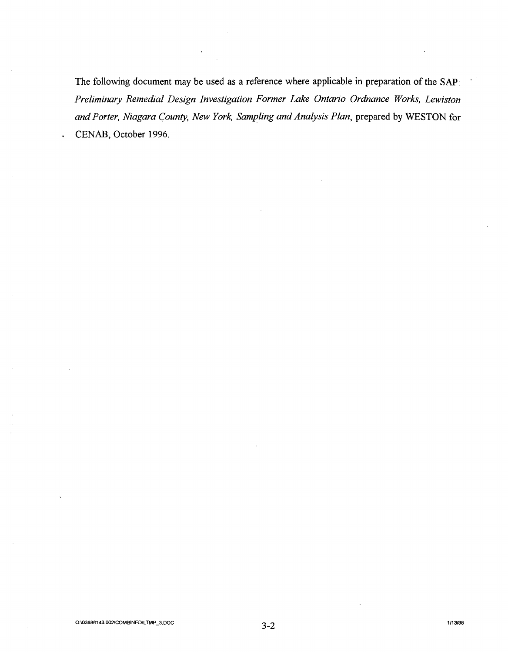The following document may be used as a reference where applicable in preparation of the SAP: *Preliminary Remedial Design Investigation Former Lake Ontario Ordnance Works, Lewiston*  and Porter, Niagara County, New York, Sampling and Analysis Plan, prepared by WESTON for CENAB, October 1996.

 $\ddot{\phantom{0}}$